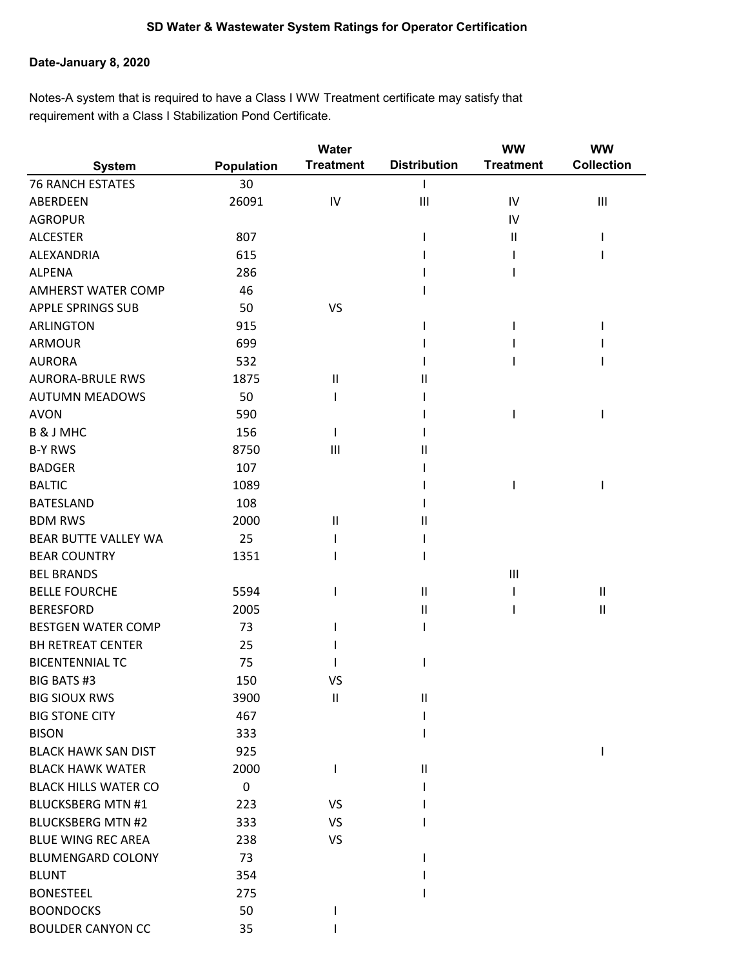## **Date-January 8, 2020**

Notes-A system that is required to have a Class I WW Treatment certificate may satisfy that requirement with a Class I Stabilization Pond Certificate.

|                             |                   | <b>Water</b>     |                     | <b>WW</b>        | <b>WW</b>                  |
|-----------------------------|-------------------|------------------|---------------------|------------------|----------------------------|
| <b>System</b>               | <b>Population</b> | <b>Treatment</b> | <b>Distribution</b> | <b>Treatment</b> | <b>Collection</b>          |
| <b>76 RANCH ESTATES</b>     | 30                |                  |                     |                  |                            |
| ABERDEEN                    | 26091             | IV               | Ш                   | IV               | Ш                          |
| <b>AGROPUR</b>              |                   |                  |                     | IV               |                            |
| <b>ALCESTER</b>             | 807               |                  |                     | Ш                |                            |
| ALEXANDRIA                  | 615               |                  |                     |                  |                            |
| <b>ALPENA</b>               | 286               |                  |                     |                  |                            |
| <b>AMHERST WATER COMP</b>   | 46                |                  |                     |                  |                            |
| <b>APPLE SPRINGS SUB</b>    | 50                | <b>VS</b>        |                     |                  |                            |
| <b>ARLINGTON</b>            | 915               |                  |                     |                  |                            |
| <b>ARMOUR</b>               | 699               |                  |                     |                  |                            |
| <b>AURORA</b>               | 532               |                  |                     |                  |                            |
| <b>AURORA-BRULE RWS</b>     | 1875              | $\sf II$         | Ш                   |                  |                            |
| <b>AUTUMN MEADOWS</b>       | 50                |                  |                     |                  |                            |
| <b>AVON</b>                 | 590               |                  |                     |                  |                            |
| <b>B&amp;JMHC</b>           | 156               |                  |                     |                  |                            |
| <b>B-Y RWS</b>              | 8750              | $\mathbf{III}$   | Ш                   |                  |                            |
| <b>BADGER</b>               | 107               |                  |                     |                  |                            |
| <b>BALTIC</b>               | 1089              |                  |                     |                  |                            |
| <b>BATESLAND</b>            | 108               |                  |                     |                  |                            |
| <b>BDM RWS</b>              | 2000              | $\mathbf{II}$    | Ш                   |                  |                            |
| BEAR BUTTE VALLEY WA        | 25                |                  |                     |                  |                            |
| <b>BEAR COUNTRY</b>         | 1351              |                  |                     |                  |                            |
| <b>BEL BRANDS</b>           |                   |                  |                     | $\mathbf{III}$   |                            |
| <b>BELLE FOURCHE</b>        | 5594              |                  | $\mathsf{I}$        |                  | Ш                          |
| <b>BERESFORD</b>            | 2005              |                  | $\mathsf{I}$        |                  | $\ensuremath{\mathsf{II}}$ |
| <b>BESTGEN WATER COMP</b>   | 73                |                  |                     |                  |                            |
| <b>BH RETREAT CENTER</b>    | 25                |                  |                     |                  |                            |
| <b>BICENTENNIAL TC</b>      | 75                |                  |                     |                  |                            |
| <b>BIG BATS#3</b>           | 150               | VS               |                     |                  |                            |
| <b>BIG SIOUX RWS</b>        | 3900              | $\sf II$         | $\mathsf{I}$        |                  |                            |
| <b>BIG STONE CITY</b>       | 467               |                  |                     |                  |                            |
| <b>BISON</b>                | 333               |                  |                     |                  |                            |
| <b>BLACK HAWK SAN DIST</b>  | 925               |                  |                     |                  | I.                         |
| <b>BLACK HAWK WATER</b>     | 2000              |                  | $\mathsf{II}$       |                  |                            |
| <b>BLACK HILLS WATER CO</b> | 0                 |                  |                     |                  |                            |
| <b>BLUCKSBERG MTN #1</b>    | 223               | <b>VS</b>        |                     |                  |                            |
| <b>BLUCKSBERG MTN #2</b>    | 333               | <b>VS</b>        |                     |                  |                            |
| <b>BLUE WING REC AREA</b>   | 238               | <b>VS</b>        |                     |                  |                            |
| <b>BLUMENGARD COLONY</b>    | 73                |                  |                     |                  |                            |
| <b>BLUNT</b>                | 354               |                  |                     |                  |                            |
| <b>BONESTEEL</b>            | 275               |                  |                     |                  |                            |
| <b>BOONDOCKS</b>            | 50                |                  |                     |                  |                            |
| <b>BOULDER CANYON CC</b>    | 35                |                  |                     |                  |                            |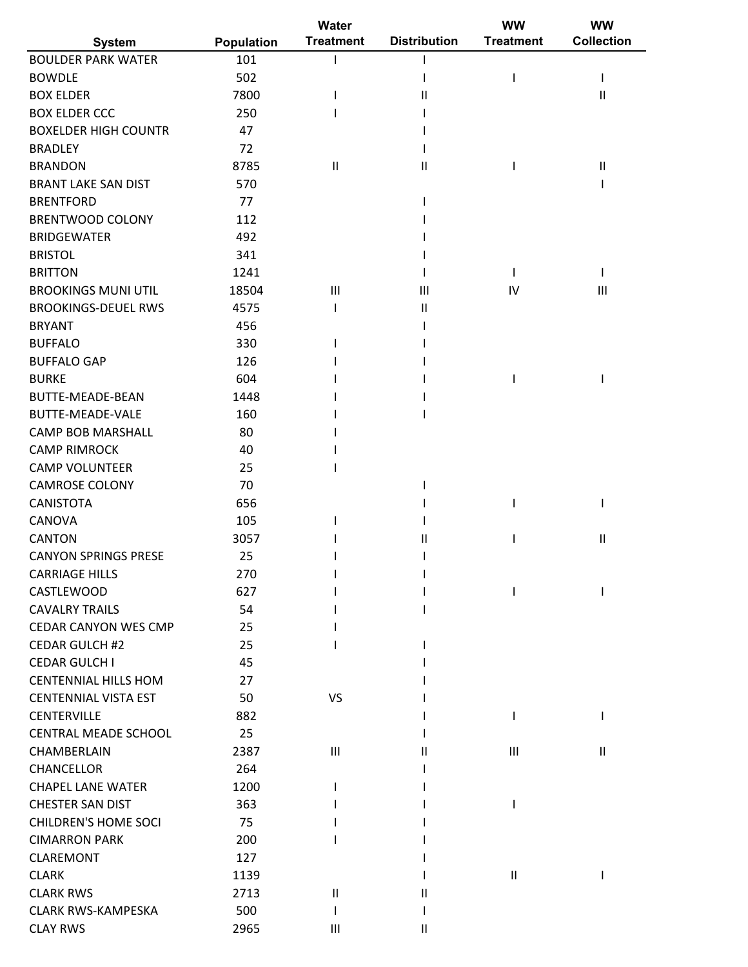|                                                        |                   | Water            |                     | <b>WW</b>                  | WW                         |
|--------------------------------------------------------|-------------------|------------------|---------------------|----------------------------|----------------------------|
| <b>System</b>                                          | <b>Population</b> | <b>Treatment</b> | <b>Distribution</b> | <b>Treatment</b>           | <b>Collection</b>          |
| <b>BOULDER PARK WATER</b>                              | 101               |                  |                     |                            |                            |
| <b>BOWDLE</b>                                          | 502               |                  |                     |                            |                            |
| <b>BOX ELDER</b>                                       | 7800              |                  | Ш                   |                            | $\sf II$                   |
| <b>BOX ELDER CCC</b>                                   | 250               |                  |                     |                            |                            |
| <b>BOXELDER HIGH COUNTR</b>                            | 47                |                  |                     |                            |                            |
| <b>BRADLEY</b>                                         | 72                |                  |                     |                            |                            |
| <b>BRANDON</b>                                         | 8785              | $\mathbf{II}$    | Ш                   |                            | $\ensuremath{\mathsf{II}}$ |
| <b>BRANT LAKE SAN DIST</b>                             | 570               |                  |                     |                            |                            |
| <b>BRENTFORD</b>                                       | 77                |                  |                     |                            |                            |
| <b>BRENTWOOD COLONY</b>                                | 112               |                  |                     |                            |                            |
| <b>BRIDGEWATER</b>                                     | 492               |                  |                     |                            |                            |
| <b>BRISTOL</b>                                         | 341               |                  |                     |                            |                            |
| <b>BRITTON</b>                                         | 1241              |                  |                     |                            |                            |
| <b>BROOKINGS MUNI UTIL</b>                             | 18504             | $\mathbf{III}$   | Ш                   | IV                         | $\mathbf{III}$             |
| <b>BROOKINGS-DEUEL RWS</b>                             | 4575              |                  | Ш                   |                            |                            |
| <b>BRYANT</b>                                          | 456               |                  |                     |                            |                            |
| <b>BUFFALO</b>                                         | 330               |                  |                     |                            |                            |
| <b>BUFFALO GAP</b>                                     | 126               |                  |                     |                            |                            |
| <b>BURKE</b>                                           | 604               |                  |                     |                            |                            |
| <b>BUTTE-MEADE-BEAN</b>                                | 1448              |                  |                     |                            |                            |
| <b>BUTTE-MEADE-VALE</b>                                | 160               |                  |                     |                            |                            |
| <b>CAMP BOB MARSHALL</b>                               | 80                |                  |                     |                            |                            |
| <b>CAMP RIMROCK</b>                                    | 40                |                  |                     |                            |                            |
| <b>CAMP VOLUNTEER</b>                                  | 25                |                  |                     |                            |                            |
| <b>CAMROSE COLONY</b>                                  | 70                |                  |                     |                            |                            |
| <b>CANISTOTA</b>                                       | 656               |                  |                     |                            |                            |
| CANOVA                                                 | 105               |                  |                     |                            |                            |
| <b>CANTON</b>                                          | 3057              |                  | Ш                   |                            | $\sf II$                   |
| <b>CANYON SPRINGS PRESE</b>                            | 25                |                  |                     |                            |                            |
| <b>CARRIAGE HILLS</b>                                  | 270               |                  |                     |                            |                            |
| CASTLEWOOD                                             | 627               |                  |                     |                            |                            |
| <b>CAVALRY TRAILS</b>                                  | 54                |                  |                     |                            |                            |
| <b>CEDAR CANYON WES CMP</b>                            | 25                |                  |                     |                            |                            |
| <b>CEDAR GULCH #2</b>                                  | 25                |                  |                     |                            |                            |
| <b>CEDAR GULCH I</b>                                   | 45                |                  |                     |                            |                            |
| <b>CENTENNIAL HILLS HOM</b>                            | 27                |                  |                     |                            |                            |
| <b>CENTENNIAL VISTA EST</b>                            | 50                | <b>VS</b>        |                     |                            |                            |
| <b>CENTERVILLE</b>                                     | 882               |                  |                     |                            |                            |
| <b>CENTRAL MEADE SCHOOL</b>                            | 25                |                  |                     |                            |                            |
| CHAMBERLAIN                                            | 2387              | $\mathbf{III}$   |                     | $\mathbf{III}$             | $\ensuremath{\mathsf{II}}$ |
| <b>CHANCELLOR</b>                                      | 264               |                  |                     |                            |                            |
| <b>CHAPEL LANE WATER</b>                               | 1200              |                  |                     |                            |                            |
|                                                        |                   |                  |                     |                            |                            |
| <b>CHESTER SAN DIST</b><br><b>CHILDREN'S HOME SOCI</b> | 363               |                  |                     |                            |                            |
|                                                        | 75                |                  |                     |                            |                            |
| <b>CIMARRON PARK</b>                                   | 200               |                  |                     |                            |                            |
| <b>CLAREMONT</b>                                       | 127               |                  |                     |                            |                            |
| <b>CLARK</b>                                           | 1139              |                  |                     | $\ensuremath{\mathsf{II}}$ |                            |
| <b>CLARK RWS</b>                                       | 2713              | $\mathbf{II}$    | Ш                   |                            |                            |
| <b>CLARK RWS-KAMPESKA</b>                              | 500               |                  |                     |                            |                            |
| <b>CLAY RWS</b>                                        | 2965              | Ш                | Ш                   |                            |                            |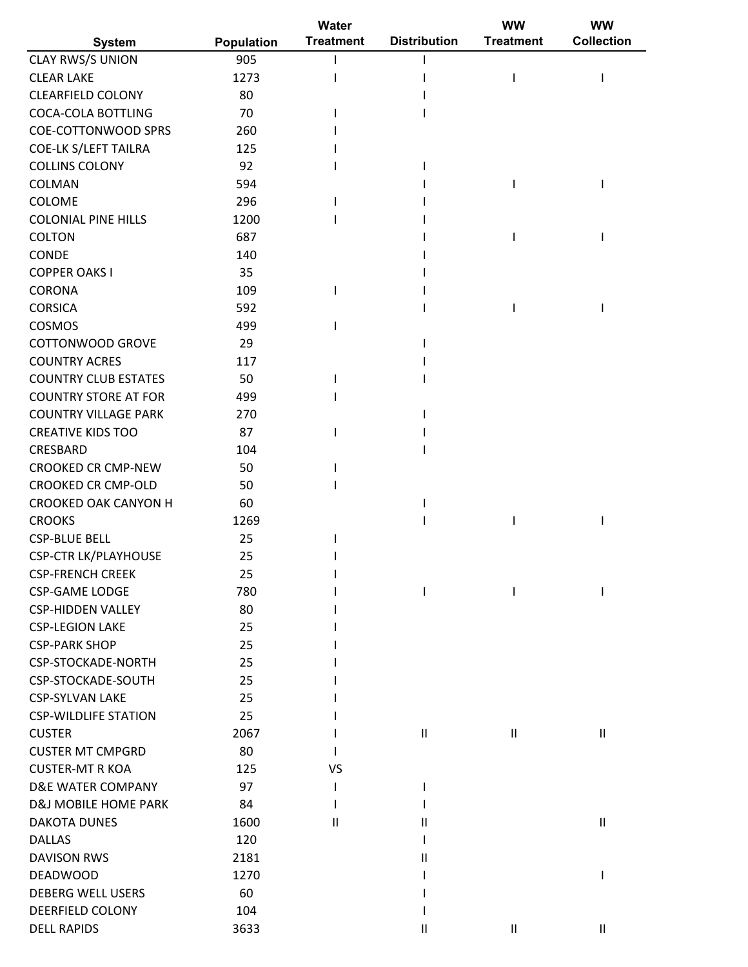|                                                  | <b>Water</b>      |                  |                     | <b>WW</b>        | <b>WW</b>                  |  |
|--------------------------------------------------|-------------------|------------------|---------------------|------------------|----------------------------|--|
| <b>System</b>                                    | <b>Population</b> | <b>Treatment</b> | <b>Distribution</b> | <b>Treatment</b> | <b>Collection</b>          |  |
| CLAY RWS/S UNION                                 | 905               |                  |                     |                  |                            |  |
| <b>CLEAR LAKE</b>                                | 1273              |                  |                     |                  |                            |  |
| <b>CLEARFIELD COLONY</b>                         | 80                |                  |                     |                  |                            |  |
| <b>COCA-COLA BOTTLING</b>                        | 70                |                  |                     |                  |                            |  |
| <b>COE-COTTONWOOD SPRS</b>                       | 260               |                  |                     |                  |                            |  |
| <b>COE-LK S/LEFT TAILRA</b>                      | 125               |                  |                     |                  |                            |  |
| <b>COLLINS COLONY</b>                            | 92                |                  |                     |                  |                            |  |
| COLMAN                                           | 594               |                  |                     |                  |                            |  |
| COLOME                                           | 296               |                  |                     |                  |                            |  |
| <b>COLONIAL PINE HILLS</b>                       | 1200              |                  |                     |                  |                            |  |
| <b>COLTON</b>                                    | 687               |                  |                     |                  |                            |  |
| CONDE                                            | 140               |                  |                     |                  |                            |  |
| <b>COPPER OAKS I</b>                             | 35                |                  |                     |                  |                            |  |
| <b>CORONA</b>                                    | 109               |                  |                     |                  |                            |  |
| <b>CORSICA</b>                                   | 592               |                  |                     |                  |                            |  |
| COSMOS                                           | 499               |                  |                     |                  |                            |  |
| COTTONWOOD GROVE                                 | 29                |                  |                     |                  |                            |  |
| <b>COUNTRY ACRES</b>                             | 117               |                  |                     |                  |                            |  |
| <b>COUNTRY CLUB ESTATES</b>                      | 50                |                  |                     |                  |                            |  |
| <b>COUNTRY STORE AT FOR</b>                      | 499               |                  |                     |                  |                            |  |
| <b>COUNTRY VILLAGE PARK</b>                      | 270               |                  |                     |                  |                            |  |
| <b>CREATIVE KIDS TOO</b>                         | 87                |                  |                     |                  |                            |  |
| CRESBARD                                         | 104               |                  |                     |                  |                            |  |
| <b>CROOKED CR CMP-NEW</b>                        | 50                |                  |                     |                  |                            |  |
| <b>CROOKED CR CMP-OLD</b>                        | 50                |                  |                     |                  |                            |  |
| <b>CROOKED OAK CANYON H</b>                      | 60                |                  |                     |                  |                            |  |
| <b>CROOKS</b>                                    | 1269              |                  |                     |                  |                            |  |
| <b>CSP-BLUE BELL</b>                             | 25                |                  |                     |                  |                            |  |
|                                                  | 25                |                  |                     |                  |                            |  |
| <b>CSP-CTR LK/PLAYHOUSE</b>                      |                   |                  |                     |                  |                            |  |
| <b>CSP-FRENCH CREEK</b><br><b>CSP-GAME LODGE</b> | 25<br>780         |                  |                     |                  |                            |  |
|                                                  |                   |                  |                     |                  |                            |  |
| <b>CSP-HIDDEN VALLEY</b>                         | 80                |                  |                     |                  |                            |  |
| <b>CSP-LEGION LAKE</b>                           | 25                |                  |                     |                  |                            |  |
| <b>CSP-PARK SHOP</b>                             | 25                |                  |                     |                  |                            |  |
| CSP-STOCKADE-NORTH                               | 25                |                  |                     |                  |                            |  |
| CSP-STOCKADE-SOUTH                               | 25                |                  |                     |                  |                            |  |
| <b>CSP-SYLVAN LAKE</b>                           | 25                |                  |                     |                  |                            |  |
| <b>CSP-WILDLIFE STATION</b>                      | 25                |                  |                     |                  |                            |  |
| <b>CUSTER</b>                                    | 2067              |                  | $\mathbf{H}$        | $\sf II$         | $\ensuremath{\mathsf{II}}$ |  |
| <b>CUSTER MT CMPGRD</b>                          | 80                |                  |                     |                  |                            |  |
| <b>CUSTER-MT R KOA</b>                           | 125               | VS               |                     |                  |                            |  |
| <b>D&amp;E WATER COMPANY</b>                     | 97                |                  |                     |                  |                            |  |
| <b>D&amp;J MOBILE HOME PARK</b>                  | 84                |                  |                     |                  |                            |  |
| <b>DAKOTA DUNES</b>                              | 1600              | Ш                | Ш                   |                  | $\ensuremath{\mathsf{II}}$ |  |
| <b>DALLAS</b>                                    | 120               |                  |                     |                  |                            |  |
| <b>DAVISON RWS</b>                               | 2181              |                  | Ш                   |                  |                            |  |
| <b>DEADWOOD</b>                                  | 1270              |                  |                     |                  |                            |  |
| <b>DEBERG WELL USERS</b>                         | 60                |                  |                     |                  |                            |  |
| DEERFIELD COLONY                                 | 104               |                  |                     |                  |                            |  |
| <b>DELL RAPIDS</b>                               | 3633              |                  | Ш                   | $\mathsf{I}$     | $\ensuremath{\mathsf{II}}$ |  |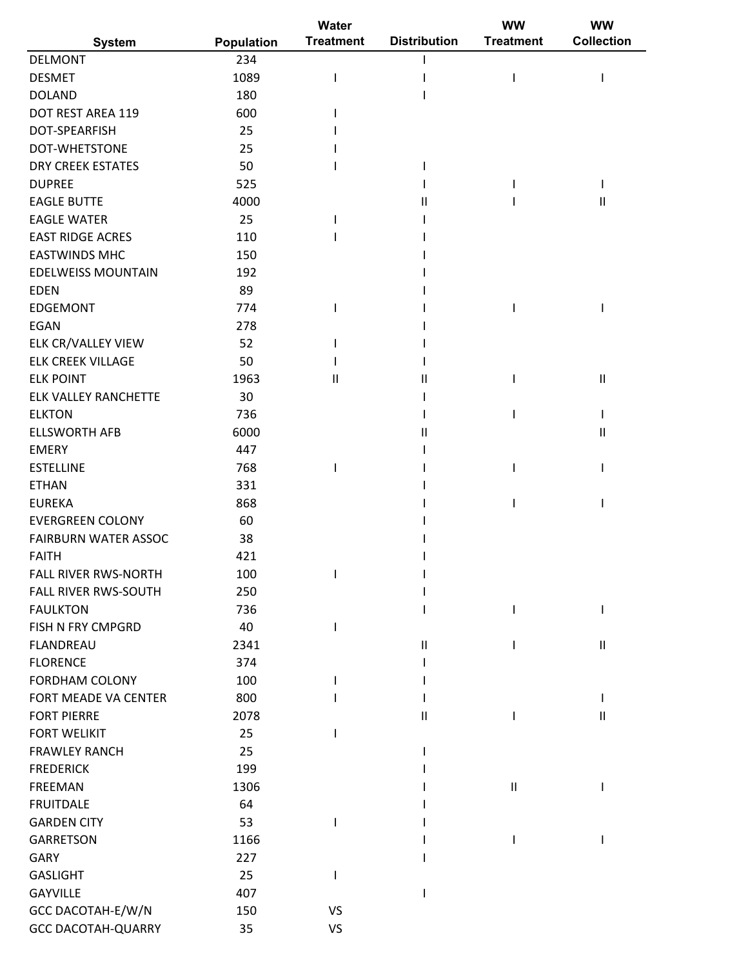|                             |            | Water            |                     | <b>WW</b>        | <b>WW</b>                  |  |
|-----------------------------|------------|------------------|---------------------|------------------|----------------------------|--|
| <b>System</b>               | Population | <b>Treatment</b> | <b>Distribution</b> | <b>Treatment</b> | <b>Collection</b>          |  |
| <b>DELMONT</b>              | 234        |                  |                     |                  |                            |  |
| <b>DESMET</b>               | 1089       |                  |                     | ı                |                            |  |
| <b>DOLAND</b>               | 180        |                  |                     |                  |                            |  |
| DOT REST AREA 119           | 600        |                  |                     |                  |                            |  |
| DOT-SPEARFISH               | 25         |                  |                     |                  |                            |  |
| DOT-WHETSTONE               | 25         |                  |                     |                  |                            |  |
| <b>DRY CREEK ESTATES</b>    | 50         |                  |                     |                  |                            |  |
| <b>DUPREE</b>               | 525        |                  |                     |                  |                            |  |
| <b>EAGLE BUTTE</b>          | 4000       |                  | Ш                   |                  | $\mathbf{I}$               |  |
| <b>EAGLE WATER</b>          | 25         |                  |                     |                  |                            |  |
| <b>EAST RIDGE ACRES</b>     | 110        |                  |                     |                  |                            |  |
| <b>EASTWINDS MHC</b>        | 150        |                  |                     |                  |                            |  |
| <b>EDELWEISS MOUNTAIN</b>   | 192        |                  |                     |                  |                            |  |
| <b>EDEN</b>                 | 89         |                  |                     |                  |                            |  |
| <b>EDGEMONT</b>             | 774        |                  |                     |                  |                            |  |
| <b>EGAN</b>                 | 278        |                  |                     |                  |                            |  |
| ELK CR/VALLEY VIEW          | 52         |                  |                     |                  |                            |  |
| <b>ELK CREEK VILLAGE</b>    | 50         |                  |                     |                  |                            |  |
| <b>ELK POINT</b>            | 1963       | $\mathsf{I}$     |                     |                  | $\mathbf{I}$               |  |
| <b>ELK VALLEY RANCHETTE</b> | 30         |                  |                     |                  |                            |  |
|                             |            |                  |                     |                  |                            |  |
| <b>ELKTON</b>               | 736        |                  |                     |                  |                            |  |
| <b>ELLSWORTH AFB</b>        | 6000       |                  | Ш                   |                  | $\mathbf{I}$               |  |
| <b>EMERY</b>                | 447        |                  |                     |                  |                            |  |
| <b>ESTELLINE</b>            | 768        |                  |                     |                  |                            |  |
| <b>ETHAN</b>                | 331        |                  |                     |                  |                            |  |
| <b>EUREKA</b>               | 868        |                  |                     |                  |                            |  |
| <b>EVERGREEN COLONY</b>     | 60         |                  |                     |                  |                            |  |
| FAIRBURN WATER ASSOC        | 38         |                  |                     |                  |                            |  |
| <b>FAITH</b>                | 421        |                  |                     |                  |                            |  |
| FALL RIVER RWS-NORTH        | 100        |                  |                     |                  |                            |  |
| FALL RIVER RWS-SOUTH        | 250        |                  |                     |                  |                            |  |
| <b>FAULKTON</b>             | 736        |                  |                     | L                |                            |  |
| FISH N FRY CMPGRD           | 40         |                  |                     |                  |                            |  |
| FLANDREAU                   | 2341       |                  | $\mathbf{II}$       |                  | $\ensuremath{\mathsf{II}}$ |  |
| <b>FLORENCE</b>             | 374        |                  |                     |                  |                            |  |
| FORDHAM COLONY              | 100        |                  |                     |                  |                            |  |
| FORT MEADE VA CENTER        | 800        |                  |                     |                  |                            |  |
| <b>FORT PIERRE</b>          | 2078       |                  | Ш                   | $\mathbf{I}$     | $\mathbf{  }$              |  |
| <b>FORT WELIKIT</b>         | 25         |                  |                     |                  |                            |  |
| <b>FRAWLEY RANCH</b>        | 25         |                  |                     |                  |                            |  |
| <b>FREDERICK</b>            | 199        |                  |                     |                  |                            |  |
| <b>FREEMAN</b>              | 1306       |                  |                     | $\sf II$         |                            |  |
| <b>FRUITDALE</b>            | 64         |                  |                     |                  |                            |  |
| <b>GARDEN CITY</b>          | 53         |                  |                     |                  |                            |  |
| <b>GARRETSON</b>            | 1166       |                  |                     |                  |                            |  |
| <b>GARY</b>                 | 227        |                  |                     |                  |                            |  |
| <b>GASLIGHT</b>             | 25         |                  |                     |                  |                            |  |
| <b>GAYVILLE</b>             | 407        |                  |                     |                  |                            |  |
| GCC DACOTAH-E/W/N           | 150        | VS               |                     |                  |                            |  |
| <b>GCC DACOTAH-QUARRY</b>   | 35         | VS               |                     |                  |                            |  |
|                             |            |                  |                     |                  |                            |  |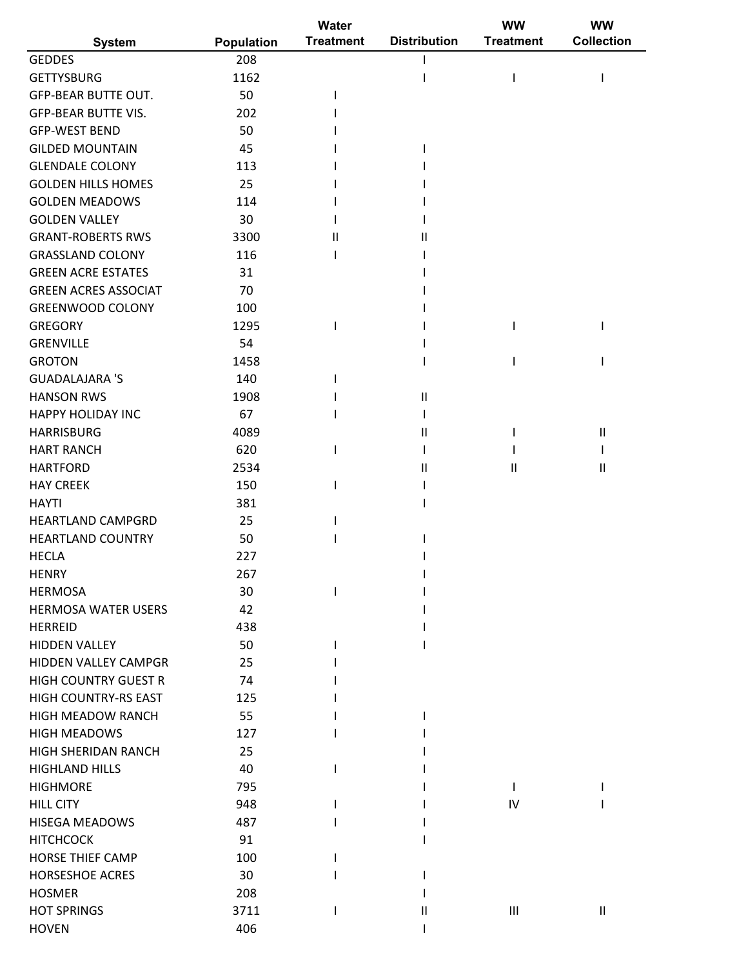|                             |            | Water            |                     | ww               | <b>WW</b>                             |
|-----------------------------|------------|------------------|---------------------|------------------|---------------------------------------|
| <b>System</b>               | Population | <b>Treatment</b> | <b>Distribution</b> | <b>Treatment</b> | <b>Collection</b>                     |
| <b>GEDDES</b>               | 208        |                  |                     |                  |                                       |
| <b>GETTYSBURG</b>           | 1162       |                  |                     |                  |                                       |
| <b>GFP-BEAR BUTTE OUT.</b>  | 50         |                  |                     |                  |                                       |
| <b>GFP-BEAR BUTTE VIS.</b>  | 202        |                  |                     |                  |                                       |
| <b>GFP-WEST BEND</b>        | 50         |                  |                     |                  |                                       |
| <b>GILDED MOUNTAIN</b>      | 45         |                  |                     |                  |                                       |
| <b>GLENDALE COLONY</b>      | 113        |                  |                     |                  |                                       |
| <b>GOLDEN HILLS HOMES</b>   | 25         |                  |                     |                  |                                       |
| <b>GOLDEN MEADOWS</b>       | 114        |                  |                     |                  |                                       |
| <b>GOLDEN VALLEY</b>        | 30         |                  |                     |                  |                                       |
| <b>GRANT-ROBERTS RWS</b>    | 3300       | Ш                | Ш                   |                  |                                       |
| <b>GRASSLAND COLONY</b>     | 116        |                  |                     |                  |                                       |
| <b>GREEN ACRE ESTATES</b>   | 31         |                  |                     |                  |                                       |
| <b>GREEN ACRES ASSOCIAT</b> | 70         |                  |                     |                  |                                       |
| <b>GREENWOOD COLONY</b>     | 100        |                  |                     |                  |                                       |
| <b>GREGORY</b>              | 1295       |                  |                     |                  |                                       |
| <b>GRENVILLE</b>            | 54         |                  |                     |                  |                                       |
| <b>GROTON</b>               | 1458       |                  |                     |                  |                                       |
| <b>GUADALAJARA 'S</b>       | 140        |                  |                     |                  |                                       |
| <b>HANSON RWS</b>           | 1908       |                  | $\mathsf{II}$       |                  |                                       |
| <b>HAPPY HOLIDAY INC</b>    | 67         |                  |                     |                  |                                       |
| <b>HARRISBURG</b>           | 4089       |                  | Ш                   |                  | $\begin{array}{c} \hline \end{array}$ |
| <b>HART RANCH</b>           | 620        |                  |                     |                  |                                       |
| <b>HARTFORD</b>             | 2534       |                  | $\mathsf{II}$       | Ш                | Ш                                     |
| <b>HAY CREEK</b>            | 150        |                  |                     |                  |                                       |
| <b>HAYTI</b>                | 381        |                  |                     |                  |                                       |
| <b>HEARTLAND CAMPGRD</b>    | 25         |                  |                     |                  |                                       |
| <b>HEARTLAND COUNTRY</b>    | 50         |                  |                     |                  |                                       |
| <b>HECLA</b>                | 227        |                  |                     |                  |                                       |
| <b>HENRY</b>                | 267        |                  |                     |                  |                                       |
| <b>HERMOSA</b>              | 30         |                  |                     |                  |                                       |
| <b>HERMOSA WATER USERS</b>  | 42         |                  |                     |                  |                                       |
| <b>HERREID</b>              | 438        |                  |                     |                  |                                       |
| <b>HIDDEN VALLEY</b>        | 50         |                  |                     |                  |                                       |
| HIDDEN VALLEY CAMPGR        | 25         |                  |                     |                  |                                       |
| <b>HIGH COUNTRY GUEST R</b> | 74         |                  |                     |                  |                                       |
| HIGH COUNTRY-RS EAST        | 125        |                  |                     |                  |                                       |
| <b>HIGH MEADOW RANCH</b>    | 55         |                  |                     |                  |                                       |
| <b>HIGH MEADOWS</b>         | 127        |                  |                     |                  |                                       |
| HIGH SHERIDAN RANCH         | 25         |                  |                     |                  |                                       |
| <b>HIGHLAND HILLS</b>       | 40         |                  |                     |                  |                                       |
| <b>HIGHMORE</b>             | 795        |                  |                     | L                |                                       |
| <b>HILL CITY</b>            | 948        |                  |                     | IV               |                                       |
| <b>HISEGA MEADOWS</b>       | 487        |                  |                     |                  |                                       |
| <b>HITCHCOCK</b>            | 91         |                  |                     |                  |                                       |
| <b>HORSE THIEF CAMP</b>     | 100        |                  |                     |                  |                                       |
| <b>HORSESHOE ACRES</b>      | 30         |                  |                     |                  |                                       |
| <b>HOSMER</b>               | 208        |                  |                     |                  |                                       |
| <b>HOT SPRINGS</b>          | 3711       |                  | Ш                   | Ш                | $\ensuremath{\mathsf{II}}$            |
| <b>HOVEN</b>                | 406        |                  |                     |                  |                                       |
|                             |            |                  |                     |                  |                                       |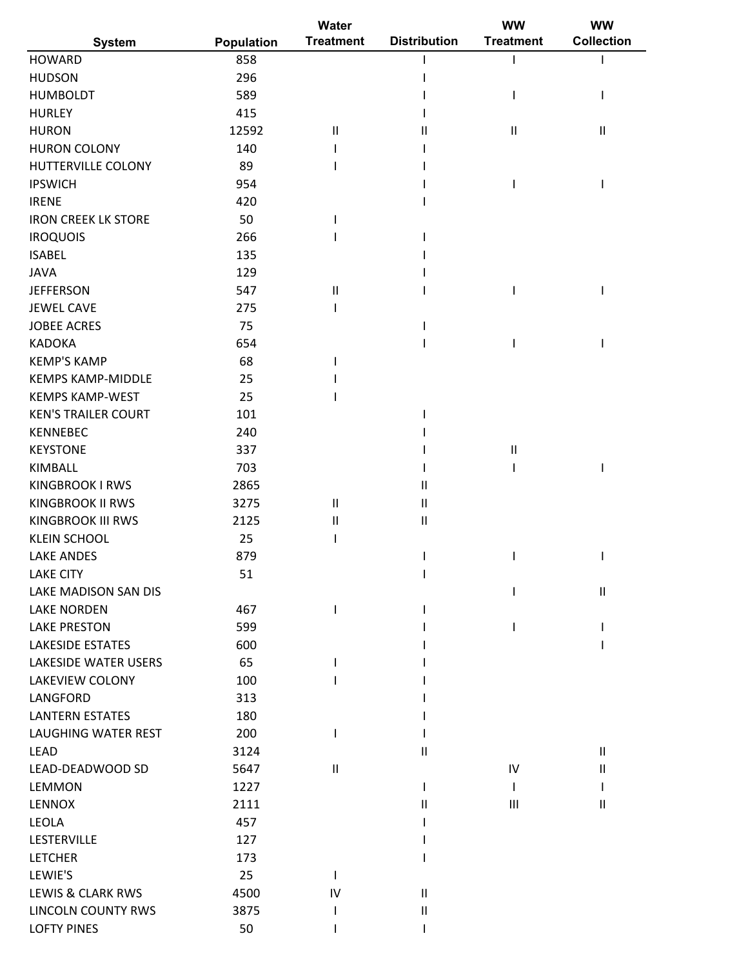|                             |            | Water            |                            | <b>WW</b>        | <b>WW</b>                  |
|-----------------------------|------------|------------------|----------------------------|------------------|----------------------------|
| <b>System</b>               | Population | <b>Treatment</b> | <b>Distribution</b>        | <b>Treatment</b> | <b>Collection</b>          |
| <b>HOWARD</b>               | 858        |                  |                            |                  |                            |
| <b>HUDSON</b>               | 296        |                  |                            |                  |                            |
| <b>HUMBOLDT</b>             | 589        |                  |                            |                  |                            |
| <b>HURLEY</b>               | 415        |                  |                            |                  |                            |
| <b>HURON</b>                | 12592      | $\mathsf{I}$     | Ш                          | Ш                | $\ensuremath{\mathsf{II}}$ |
| <b>HURON COLONY</b>         | 140        |                  |                            |                  |                            |
| HUTTERVILLE COLONY          | 89         |                  |                            |                  |                            |
| <b>IPSWICH</b>              | 954        |                  |                            |                  |                            |
| <b>IRENE</b>                | 420        |                  |                            |                  |                            |
| <b>IRON CREEK LK STORE</b>  | 50         |                  |                            |                  |                            |
| <b>IROQUOIS</b>             | 266        |                  |                            |                  |                            |
| <b>ISABEL</b>               | 135        |                  |                            |                  |                            |
| <b>JAVA</b>                 | 129        |                  |                            |                  |                            |
| <b>JEFFERSON</b>            | 547        | $\sf II$         |                            | ı                |                            |
| <b>JEWEL CAVE</b>           | 275        |                  |                            |                  |                            |
| <b>JOBEE ACRES</b>          | 75         |                  |                            |                  |                            |
| <b>KADOKA</b>               | 654        |                  |                            |                  |                            |
| <b>KEMP'S KAMP</b>          | 68         |                  |                            |                  |                            |
| <b>KEMPS KAMP-MIDDLE</b>    | 25         |                  |                            |                  |                            |
| <b>KEMPS KAMP-WEST</b>      | 25         |                  |                            |                  |                            |
| <b>KEN'S TRAILER COURT</b>  | 101        |                  |                            |                  |                            |
| <b>KENNEBEC</b>             | 240        |                  |                            |                  |                            |
| <b>KEYSTONE</b>             | 337        |                  |                            | $\sf II$         |                            |
| KIMBALL                     | 703        |                  |                            |                  |                            |
| <b>KINGBROOK I RWS</b>      | 2865       |                  |                            |                  |                            |
| <b>KINGBROOK II RWS</b>     |            |                  | Ш                          |                  |                            |
| <b>KINGBROOK III RWS</b>    | 3275       | $\mathsf{I}$     | $\ensuremath{\mathsf{II}}$ |                  |                            |
|                             | 2125       | $\mathsf{I}$     | $\sf II$                   |                  |                            |
| <b>KLEIN SCHOOL</b>         | 25         |                  |                            |                  |                            |
| <b>LAKE ANDES</b>           | 879        |                  |                            |                  |                            |
| <b>LAKE CITY</b>            | 51         |                  |                            |                  |                            |
| LAKE MADISON SAN DIS        |            |                  |                            |                  | $\sf II$                   |
| <b>LAKE NORDEN</b>          | 467        |                  |                            |                  |                            |
| <b>LAKE PRESTON</b>         | 599        |                  |                            |                  |                            |
| <b>LAKESIDE ESTATES</b>     | 600        |                  |                            |                  |                            |
| <b>LAKESIDE WATER USERS</b> | 65         |                  |                            |                  |                            |
| LAKEVIEW COLONY             | 100        |                  |                            |                  |                            |
| LANGFORD                    | 313        |                  |                            |                  |                            |
| <b>LANTERN ESTATES</b>      | 180        |                  |                            |                  |                            |
| <b>LAUGHING WATER REST</b>  | 200        |                  |                            |                  |                            |
| <b>LEAD</b>                 | 3124       |                  | Ш                          |                  | $\mathbf{H}$               |
| LEAD-DEADWOOD SD            | 5647       | Ш                |                            | IV               | $\mathsf{I}$               |
| LEMMON                      | 1227       |                  |                            |                  |                            |
| <b>LENNOX</b>               | 2111       |                  | Ш                          | Ш                | $\mathbf{H}$               |
| <b>LEOLA</b>                | 457        |                  |                            |                  |                            |
| LESTERVILLE                 | 127        |                  |                            |                  |                            |
| <b>LETCHER</b>              | 173        |                  |                            |                  |                            |
| LEWIE'S                     | 25         |                  |                            |                  |                            |
| LEWIS & CLARK RWS           | 4500       | IV               | $\mathbf{II}$              |                  |                            |
| <b>LINCOLN COUNTY RWS</b>   | 3875       |                  | $\sf II$                   |                  |                            |
| <b>LOFTY PINES</b>          | 50         |                  |                            |                  |                            |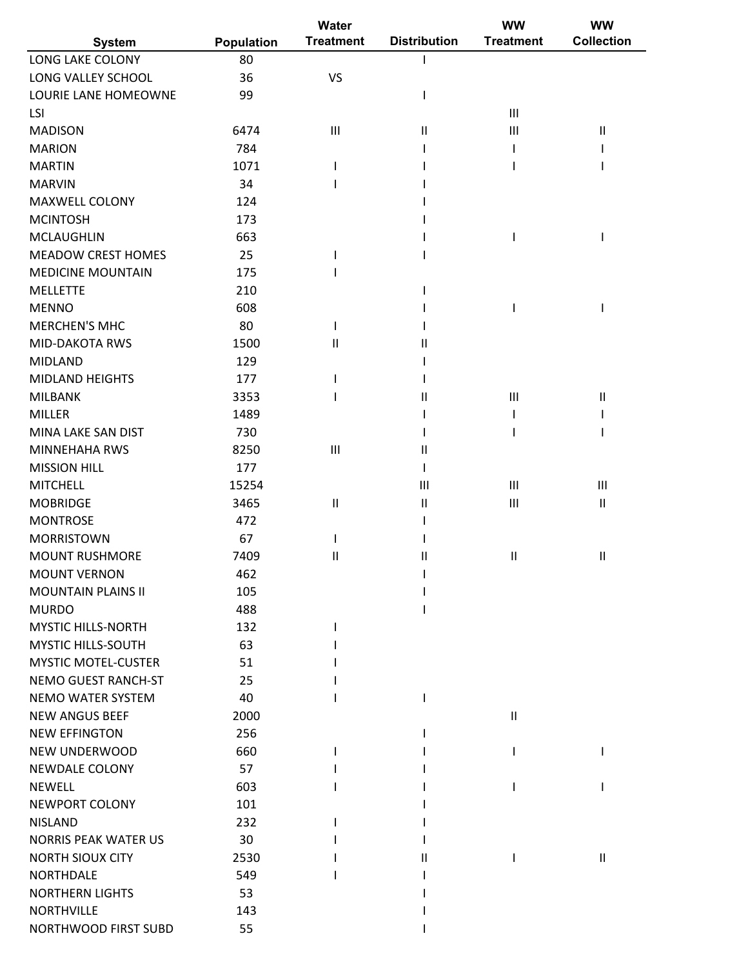|                             |                   | Water            |                                       | ww                         | <b>WW</b>                  |
|-----------------------------|-------------------|------------------|---------------------------------------|----------------------------|----------------------------|
| <b>System</b>               | <b>Population</b> | <b>Treatment</b> | <b>Distribution</b>                   | <b>Treatment</b>           | <b>Collection</b>          |
| LONG LAKE COLONY            | 80                |                  |                                       |                            |                            |
| LONG VALLEY SCHOOL          | 36                | <b>VS</b>        |                                       |                            |                            |
| LOURIE LANE HOMEOWNE        | 99                |                  | ı                                     |                            |                            |
| LSI                         |                   |                  |                                       | $\mathbf{III}$             |                            |
| <b>MADISON</b>              | 6474              | III              | $\mathsf{I}$                          | Ш                          | $\ensuremath{\mathsf{II}}$ |
| <b>MARION</b>               | 784               |                  |                                       |                            |                            |
| <b>MARTIN</b>               | 1071              |                  |                                       |                            |                            |
| <b>MARVIN</b>               | 34                |                  |                                       |                            |                            |
| MAXWELL COLONY              | 124               |                  |                                       |                            |                            |
| <b>MCINTOSH</b>             | 173               |                  |                                       |                            |                            |
| <b>MCLAUGHLIN</b>           | 663               |                  |                                       |                            |                            |
| <b>MEADOW CREST HOMES</b>   | 25                |                  |                                       |                            |                            |
| <b>MEDICINE MOUNTAIN</b>    | 175               |                  |                                       |                            |                            |
| <b>MELLETTE</b>             | 210               |                  |                                       |                            |                            |
| <b>MENNO</b>                | 608               |                  |                                       |                            |                            |
| <b>MERCHEN'S MHC</b>        | 80                |                  |                                       |                            |                            |
| <b>MID-DAKOTA RWS</b>       | 1500              | $\mathbf{I}$     | Ш                                     |                            |                            |
| <b>MIDLAND</b>              | 129               |                  |                                       |                            |                            |
| <b>MIDLAND HEIGHTS</b>      | 177               |                  |                                       |                            |                            |
| <b>MILBANK</b>              | 3353              |                  | $\mathbf{I}$                          | Ш                          | $\sf II$                   |
| <b>MILLER</b>               | 1489              |                  |                                       |                            |                            |
| MINA LAKE SAN DIST          | 730               |                  |                                       |                            |                            |
| <b>MINNEHAHA RWS</b>        | 8250              | III              | Ш                                     |                            |                            |
| <b>MISSION HILL</b>         | 177               |                  | T                                     |                            |                            |
| <b>MITCHELL</b>             | 15254             |                  | Ш                                     | Ш                          | $\mathbf{III}$             |
| <b>MOBRIDGE</b>             | 3465              | $\sf II$         | $\begin{array}{c} \hline \end{array}$ | III                        | $\sf II$                   |
| <b>MONTROSE</b>             | 472               |                  |                                       |                            |                            |
| <b>MORRISTOWN</b>           | 67                |                  |                                       |                            |                            |
| <b>MOUNT RUSHMORE</b>       | 7409              | Ш                | $\mathsf{I}$                          | Ш                          | $\mathbf{II}$              |
| <b>MOUNT VERNON</b>         | 462               |                  |                                       |                            |                            |
| <b>MOUNTAIN PLAINS II</b>   | 105               |                  |                                       |                            |                            |
| <b>MURDO</b>                | 488               |                  |                                       |                            |                            |
| <b>MYSTIC HILLS-NORTH</b>   | 132               |                  |                                       |                            |                            |
| <b>MYSTIC HILLS-SOUTH</b>   | 63                |                  |                                       |                            |                            |
| <b>MYSTIC MOTEL-CUSTER</b>  | 51                |                  |                                       |                            |                            |
| <b>NEMO GUEST RANCH-ST</b>  | 25                |                  |                                       |                            |                            |
| <b>NEMO WATER SYSTEM</b>    | 40                |                  |                                       |                            |                            |
| <b>NEW ANGUS BEEF</b>       | 2000              |                  |                                       | $\ensuremath{\mathsf{II}}$ |                            |
| <b>NEW EFFINGTON</b>        | 256               |                  |                                       |                            |                            |
| NEW UNDERWOOD               | 660               |                  |                                       |                            |                            |
| NEWDALE COLONY              | 57                |                  |                                       |                            |                            |
| <b>NEWELL</b>               | 603               |                  |                                       |                            |                            |
| NEWPORT COLONY              | 101               |                  |                                       |                            |                            |
| <b>NISLAND</b>              | 232               |                  |                                       |                            |                            |
| <b>NORRIS PEAK WATER US</b> | 30                |                  |                                       |                            |                            |
| <b>NORTH SIOUX CITY</b>     | 2530              |                  |                                       |                            |                            |
| <b>NORTHDALE</b>            | 549               |                  | Ш                                     |                            | $\mathbf{H}$               |
| <b>NORTHERN LIGHTS</b>      | 53                |                  |                                       |                            |                            |
| <b>NORTHVILLE</b>           | 143               |                  |                                       |                            |                            |
| NORTHWOOD FIRST SUBD        | 55                |                  |                                       |                            |                            |
|                             |                   |                  |                                       |                            |                            |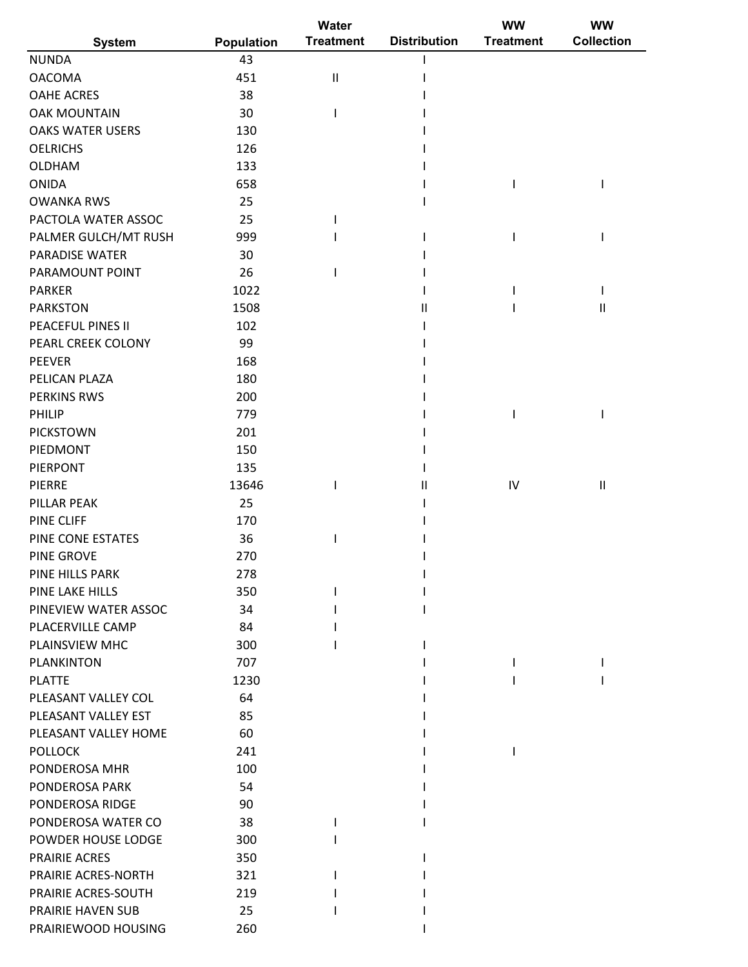| <b>Treatment</b><br><b>Distribution</b><br><b>Collection</b><br><b>Treatment</b><br>Population<br><b>System</b><br>43<br>451<br>$\sf II$<br>38<br>30<br>130<br>126<br>133<br>658<br>25<br>25<br>999<br>30<br>26<br>1022<br>1508<br>$\mathsf{II}$<br>$\mathsf{II}$<br>102<br>PEARL CREEK COLONY<br>99<br><b>PEEVER</b><br>168<br>PELICAN PLAZA<br>180<br><b>PERKINS RWS</b><br>200<br>PHILIP<br>779<br>201<br><b>PICKSTOWN</b><br>PIEDMONT<br>150<br><b>PIERPONT</b><br>135<br>13646<br>IV<br>$\ensuremath{\mathsf{II}}$<br>PIERRE<br>$\mathsf{II}$<br>25<br>PILLAR PEAK<br>170<br><b>PINE CLIFF</b><br>36<br>PINE CONE ESTATES<br>270<br>PINE GROVE<br>278<br>PINE HILLS PARK<br>350<br>PINE LAKE HILLS<br>PINEVIEW WATER ASSOC<br>34<br>PLACERVILLE CAMP<br>84<br>PLAINSVIEW MHC<br>300<br><b>PLANKINTON</b><br>707<br><b>PLATTE</b><br>1230<br>64<br>PLEASANT VALLEY COL<br>PLEASANT VALLEY EST<br>85<br>PLEASANT VALLEY HOME<br>60<br><b>POLLOCK</b><br>241<br>100<br>PONDEROSA MHR<br>PONDEROSA PARK<br>54<br>PONDEROSA RIDGE<br>90<br>38<br>300<br>350<br>321<br>219<br>25<br>260 |                         | Water | <b>WW</b> | <b>WW</b> |
|----------------------------------------------------------------------------------------------------------------------------------------------------------------------------------------------------------------------------------------------------------------------------------------------------------------------------------------------------------------------------------------------------------------------------------------------------------------------------------------------------------------------------------------------------------------------------------------------------------------------------------------------------------------------------------------------------------------------------------------------------------------------------------------------------------------------------------------------------------------------------------------------------------------------------------------------------------------------------------------------------------------------------------------------------------------------------------------|-------------------------|-------|-----------|-----------|
|                                                                                                                                                                                                                                                                                                                                                                                                                                                                                                                                                                                                                                                                                                                                                                                                                                                                                                                                                                                                                                                                                        |                         |       |           |           |
|                                                                                                                                                                                                                                                                                                                                                                                                                                                                                                                                                                                                                                                                                                                                                                                                                                                                                                                                                                                                                                                                                        | <b>NUNDA</b>            |       |           |           |
|                                                                                                                                                                                                                                                                                                                                                                                                                                                                                                                                                                                                                                                                                                                                                                                                                                                                                                                                                                                                                                                                                        | <b>OACOMA</b>           |       |           |           |
|                                                                                                                                                                                                                                                                                                                                                                                                                                                                                                                                                                                                                                                                                                                                                                                                                                                                                                                                                                                                                                                                                        | <b>OAHE ACRES</b>       |       |           |           |
|                                                                                                                                                                                                                                                                                                                                                                                                                                                                                                                                                                                                                                                                                                                                                                                                                                                                                                                                                                                                                                                                                        | <b>OAK MOUNTAIN</b>     |       |           |           |
|                                                                                                                                                                                                                                                                                                                                                                                                                                                                                                                                                                                                                                                                                                                                                                                                                                                                                                                                                                                                                                                                                        | <b>OAKS WATER USERS</b> |       |           |           |
|                                                                                                                                                                                                                                                                                                                                                                                                                                                                                                                                                                                                                                                                                                                                                                                                                                                                                                                                                                                                                                                                                        | <b>OELRICHS</b>         |       |           |           |
|                                                                                                                                                                                                                                                                                                                                                                                                                                                                                                                                                                                                                                                                                                                                                                                                                                                                                                                                                                                                                                                                                        | OLDHAM                  |       |           |           |
|                                                                                                                                                                                                                                                                                                                                                                                                                                                                                                                                                                                                                                                                                                                                                                                                                                                                                                                                                                                                                                                                                        | <b>ONIDA</b>            |       |           |           |
|                                                                                                                                                                                                                                                                                                                                                                                                                                                                                                                                                                                                                                                                                                                                                                                                                                                                                                                                                                                                                                                                                        | <b>OWANKA RWS</b>       |       |           |           |
|                                                                                                                                                                                                                                                                                                                                                                                                                                                                                                                                                                                                                                                                                                                                                                                                                                                                                                                                                                                                                                                                                        | PACTOLA WATER ASSOC     |       |           |           |
|                                                                                                                                                                                                                                                                                                                                                                                                                                                                                                                                                                                                                                                                                                                                                                                                                                                                                                                                                                                                                                                                                        | PALMER GULCH/MT RUSH    |       |           |           |
|                                                                                                                                                                                                                                                                                                                                                                                                                                                                                                                                                                                                                                                                                                                                                                                                                                                                                                                                                                                                                                                                                        | <b>PARADISE WATER</b>   |       |           |           |
|                                                                                                                                                                                                                                                                                                                                                                                                                                                                                                                                                                                                                                                                                                                                                                                                                                                                                                                                                                                                                                                                                        | PARAMOUNT POINT         |       |           |           |
|                                                                                                                                                                                                                                                                                                                                                                                                                                                                                                                                                                                                                                                                                                                                                                                                                                                                                                                                                                                                                                                                                        | <b>PARKER</b>           |       |           |           |
|                                                                                                                                                                                                                                                                                                                                                                                                                                                                                                                                                                                                                                                                                                                                                                                                                                                                                                                                                                                                                                                                                        | <b>PARKSTON</b>         |       |           |           |
|                                                                                                                                                                                                                                                                                                                                                                                                                                                                                                                                                                                                                                                                                                                                                                                                                                                                                                                                                                                                                                                                                        | PEACEFUL PINES II       |       |           |           |
|                                                                                                                                                                                                                                                                                                                                                                                                                                                                                                                                                                                                                                                                                                                                                                                                                                                                                                                                                                                                                                                                                        |                         |       |           |           |
|                                                                                                                                                                                                                                                                                                                                                                                                                                                                                                                                                                                                                                                                                                                                                                                                                                                                                                                                                                                                                                                                                        |                         |       |           |           |
|                                                                                                                                                                                                                                                                                                                                                                                                                                                                                                                                                                                                                                                                                                                                                                                                                                                                                                                                                                                                                                                                                        |                         |       |           |           |
|                                                                                                                                                                                                                                                                                                                                                                                                                                                                                                                                                                                                                                                                                                                                                                                                                                                                                                                                                                                                                                                                                        |                         |       |           |           |
|                                                                                                                                                                                                                                                                                                                                                                                                                                                                                                                                                                                                                                                                                                                                                                                                                                                                                                                                                                                                                                                                                        |                         |       |           |           |
|                                                                                                                                                                                                                                                                                                                                                                                                                                                                                                                                                                                                                                                                                                                                                                                                                                                                                                                                                                                                                                                                                        |                         |       |           |           |
|                                                                                                                                                                                                                                                                                                                                                                                                                                                                                                                                                                                                                                                                                                                                                                                                                                                                                                                                                                                                                                                                                        |                         |       |           |           |
|                                                                                                                                                                                                                                                                                                                                                                                                                                                                                                                                                                                                                                                                                                                                                                                                                                                                                                                                                                                                                                                                                        |                         |       |           |           |
|                                                                                                                                                                                                                                                                                                                                                                                                                                                                                                                                                                                                                                                                                                                                                                                                                                                                                                                                                                                                                                                                                        |                         |       |           |           |
|                                                                                                                                                                                                                                                                                                                                                                                                                                                                                                                                                                                                                                                                                                                                                                                                                                                                                                                                                                                                                                                                                        |                         |       |           |           |
|                                                                                                                                                                                                                                                                                                                                                                                                                                                                                                                                                                                                                                                                                                                                                                                                                                                                                                                                                                                                                                                                                        |                         |       |           |           |
|                                                                                                                                                                                                                                                                                                                                                                                                                                                                                                                                                                                                                                                                                                                                                                                                                                                                                                                                                                                                                                                                                        |                         |       |           |           |
|                                                                                                                                                                                                                                                                                                                                                                                                                                                                                                                                                                                                                                                                                                                                                                                                                                                                                                                                                                                                                                                                                        |                         |       |           |           |
|                                                                                                                                                                                                                                                                                                                                                                                                                                                                                                                                                                                                                                                                                                                                                                                                                                                                                                                                                                                                                                                                                        |                         |       |           |           |
|                                                                                                                                                                                                                                                                                                                                                                                                                                                                                                                                                                                                                                                                                                                                                                                                                                                                                                                                                                                                                                                                                        |                         |       |           |           |
|                                                                                                                                                                                                                                                                                                                                                                                                                                                                                                                                                                                                                                                                                                                                                                                                                                                                                                                                                                                                                                                                                        |                         |       |           |           |
|                                                                                                                                                                                                                                                                                                                                                                                                                                                                                                                                                                                                                                                                                                                                                                                                                                                                                                                                                                                                                                                                                        |                         |       |           |           |
|                                                                                                                                                                                                                                                                                                                                                                                                                                                                                                                                                                                                                                                                                                                                                                                                                                                                                                                                                                                                                                                                                        |                         |       |           |           |
|                                                                                                                                                                                                                                                                                                                                                                                                                                                                                                                                                                                                                                                                                                                                                                                                                                                                                                                                                                                                                                                                                        |                         |       |           |           |
|                                                                                                                                                                                                                                                                                                                                                                                                                                                                                                                                                                                                                                                                                                                                                                                                                                                                                                                                                                                                                                                                                        |                         |       |           |           |
|                                                                                                                                                                                                                                                                                                                                                                                                                                                                                                                                                                                                                                                                                                                                                                                                                                                                                                                                                                                                                                                                                        |                         |       |           |           |
|                                                                                                                                                                                                                                                                                                                                                                                                                                                                                                                                                                                                                                                                                                                                                                                                                                                                                                                                                                                                                                                                                        |                         |       |           |           |
|                                                                                                                                                                                                                                                                                                                                                                                                                                                                                                                                                                                                                                                                                                                                                                                                                                                                                                                                                                                                                                                                                        |                         |       |           |           |
|                                                                                                                                                                                                                                                                                                                                                                                                                                                                                                                                                                                                                                                                                                                                                                                                                                                                                                                                                                                                                                                                                        |                         |       |           |           |
|                                                                                                                                                                                                                                                                                                                                                                                                                                                                                                                                                                                                                                                                                                                                                                                                                                                                                                                                                                                                                                                                                        |                         |       |           |           |
|                                                                                                                                                                                                                                                                                                                                                                                                                                                                                                                                                                                                                                                                                                                                                                                                                                                                                                                                                                                                                                                                                        |                         |       |           |           |
|                                                                                                                                                                                                                                                                                                                                                                                                                                                                                                                                                                                                                                                                                                                                                                                                                                                                                                                                                                                                                                                                                        |                         |       |           |           |
|                                                                                                                                                                                                                                                                                                                                                                                                                                                                                                                                                                                                                                                                                                                                                                                                                                                                                                                                                                                                                                                                                        |                         |       |           |           |
|                                                                                                                                                                                                                                                                                                                                                                                                                                                                                                                                                                                                                                                                                                                                                                                                                                                                                                                                                                                                                                                                                        | PONDEROSA WATER CO      |       |           |           |
|                                                                                                                                                                                                                                                                                                                                                                                                                                                                                                                                                                                                                                                                                                                                                                                                                                                                                                                                                                                                                                                                                        | POWDER HOUSE LODGE      |       |           |           |
|                                                                                                                                                                                                                                                                                                                                                                                                                                                                                                                                                                                                                                                                                                                                                                                                                                                                                                                                                                                                                                                                                        | <b>PRAIRIE ACRES</b>    |       |           |           |
|                                                                                                                                                                                                                                                                                                                                                                                                                                                                                                                                                                                                                                                                                                                                                                                                                                                                                                                                                                                                                                                                                        | PRAIRIE ACRES-NORTH     |       |           |           |
|                                                                                                                                                                                                                                                                                                                                                                                                                                                                                                                                                                                                                                                                                                                                                                                                                                                                                                                                                                                                                                                                                        | PRAIRIE ACRES-SOUTH     |       |           |           |
|                                                                                                                                                                                                                                                                                                                                                                                                                                                                                                                                                                                                                                                                                                                                                                                                                                                                                                                                                                                                                                                                                        | PRAIRIE HAVEN SUB       |       |           |           |
|                                                                                                                                                                                                                                                                                                                                                                                                                                                                                                                                                                                                                                                                                                                                                                                                                                                                                                                                                                                                                                                                                        | PRAIRIEWOOD HOUSING     |       |           |           |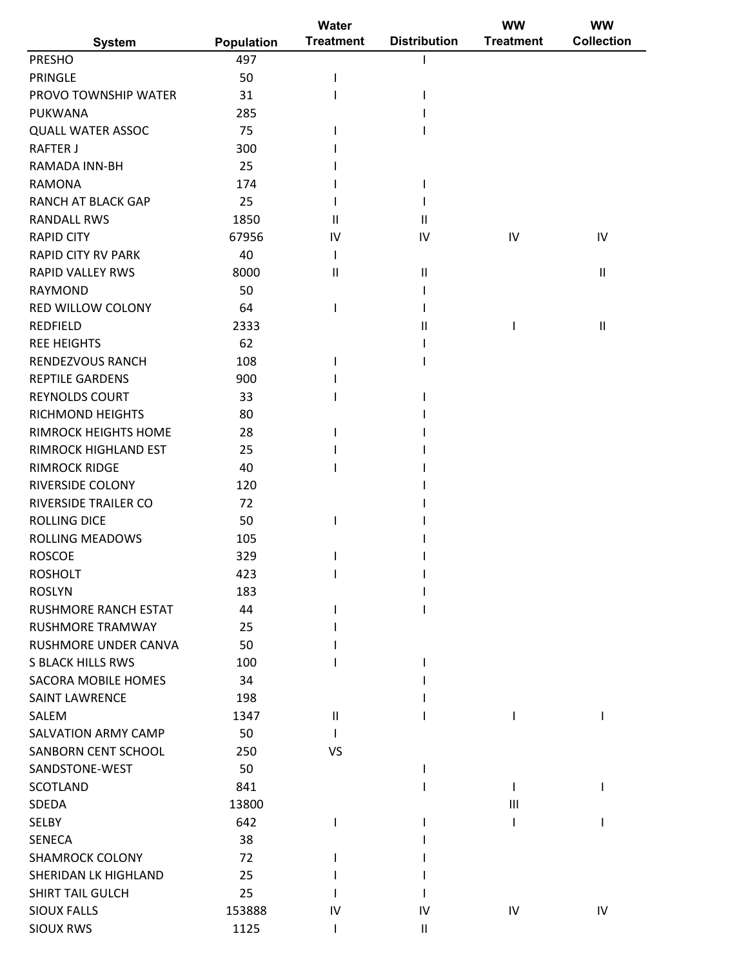|                             |            | Water            |                     | <b>WW</b>        | <b>WW</b>                  |
|-----------------------------|------------|------------------|---------------------|------------------|----------------------------|
| <b>System</b>               | Population | <b>Treatment</b> | <b>Distribution</b> | <b>Treatment</b> | <b>Collection</b>          |
| <b>PRESHO</b>               | 497        |                  |                     |                  |                            |
| <b>PRINGLE</b>              | 50         |                  |                     |                  |                            |
| PROVO TOWNSHIP WATER        | 31         |                  |                     |                  |                            |
| PUKWANA                     | 285        |                  |                     |                  |                            |
| <b>QUALL WATER ASSOC</b>    | 75         |                  |                     |                  |                            |
| <b>RAFTER J</b>             | 300        |                  |                     |                  |                            |
| RAMADA INN-BH               | 25         |                  |                     |                  |                            |
| <b>RAMONA</b>               | 174        |                  |                     |                  |                            |
| <b>RANCH AT BLACK GAP</b>   | 25         |                  |                     |                  |                            |
| <b>RANDALL RWS</b>          | 1850       | Ш                | $\mathbf{H}$        |                  |                            |
| <b>RAPID CITY</b>           | 67956      | IV               | IV                  | IV               | IV                         |
| <b>RAPID CITY RV PARK</b>   | 40         |                  |                     |                  |                            |
| <b>RAPID VALLEY RWS</b>     | 8000       | Ш                | Ш                   |                  | $\ensuremath{\mathsf{II}}$ |
| <b>RAYMOND</b>              | 50         |                  |                     |                  |                            |
| <b>RED WILLOW COLONY</b>    | 64         |                  |                     |                  |                            |
| <b>REDFIELD</b>             | 2333       |                  | Ш                   |                  | $\ensuremath{\mathsf{II}}$ |
| <b>REE HEIGHTS</b>          | 62         |                  |                     |                  |                            |
| <b>RENDEZVOUS RANCH</b>     | 108        |                  |                     |                  |                            |
| <b>REPTILE GARDENS</b>      | 900        |                  |                     |                  |                            |
| <b>REYNOLDS COURT</b>       | 33         |                  |                     |                  |                            |
| <b>RICHMOND HEIGHTS</b>     | 80         |                  |                     |                  |                            |
| <b>RIMROCK HEIGHTS HOME</b> | 28         |                  |                     |                  |                            |
| RIMROCK HIGHLAND EST        | 25         |                  |                     |                  |                            |
| <b>RIMROCK RIDGE</b>        | 40         |                  |                     |                  |                            |
| <b>RIVERSIDE COLONY</b>     | 120        |                  |                     |                  |                            |
| RIVERSIDE TRAILER CO        | 72         |                  |                     |                  |                            |
| <b>ROLLING DICE</b>         | 50         |                  |                     |                  |                            |
| <b>ROLLING MEADOWS</b>      | 105        |                  |                     |                  |                            |
| <b>ROSCOE</b>               | 329        |                  |                     |                  |                            |
| <b>ROSHOLT</b>              | 423        |                  |                     |                  |                            |
| <b>ROSLYN</b>               | 183        |                  |                     |                  |                            |
| RUSHMORE RANCH ESTAT        | 44         |                  |                     |                  |                            |
| <b>RUSHMORE TRAMWAY</b>     | 25         |                  |                     |                  |                            |
| <b>RUSHMORE UNDER CANVA</b> | 50         |                  |                     |                  |                            |
| <b>S BLACK HILLS RWS</b>    | 100        |                  |                     |                  |                            |
| SACORA MOBILE HOMES         | 34         |                  |                     |                  |                            |
| <b>SAINT LAWRENCE</b>       | 198        |                  |                     |                  |                            |
| SALEM                       | 1347       | Ш                |                     |                  |                            |
| <b>SALVATION ARMY CAMP</b>  | 50         |                  |                     |                  |                            |
| SANBORN CENT SCHOOL         | 250        | VS               |                     |                  |                            |
| SANDSTONE-WEST              | 50         |                  |                     |                  |                            |
| SCOTLAND                    | 841        |                  |                     |                  |                            |
| SDEDA                       | 13800      |                  |                     | $\mathbf{III}$   |                            |
| SELBY                       | 642        |                  |                     |                  |                            |
| <b>SENECA</b>               | 38         |                  |                     |                  |                            |
| <b>SHAMROCK COLONY</b>      | 72         |                  |                     |                  |                            |
| SHERIDAN LK HIGHLAND        | 25         |                  |                     |                  |                            |
| <b>SHIRT TAIL GULCH</b>     | 25         |                  |                     |                  |                            |
| <b>SIOUX FALLS</b>          | 153888     | IV               | IV                  | IV               | IV                         |
| <b>SIOUX RWS</b>            | 1125       |                  | Ш                   |                  |                            |
|                             |            |                  |                     |                  |                            |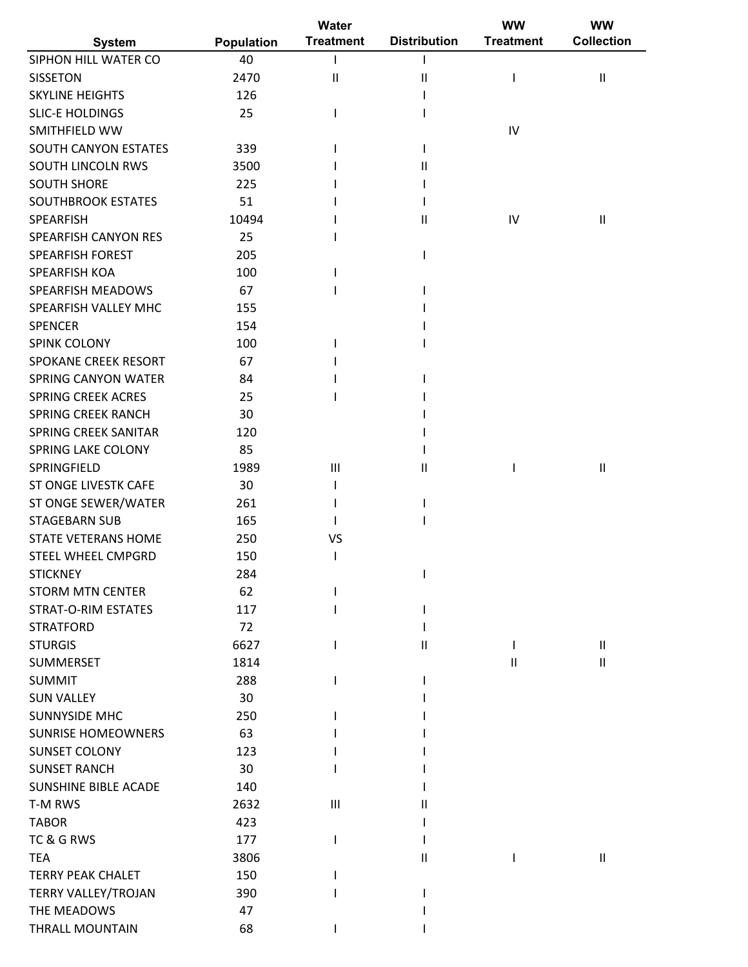|                            |                   | Water              |                     | <b>WW</b>        | <b>WW</b>                  |
|----------------------------|-------------------|--------------------|---------------------|------------------|----------------------------|
| <b>System</b>              | <b>Population</b> | <b>Treatment</b>   | <b>Distribution</b> | <b>Treatment</b> | <b>Collection</b>          |
| SIPHON HILL WATER CO       | 40                |                    |                     |                  |                            |
| <b>SISSETON</b>            | 2470              | Ш                  | $\mathsf{II}$       |                  | $\ensuremath{\mathsf{II}}$ |
| <b>SKYLINE HEIGHTS</b>     | 126               |                    |                     |                  |                            |
| <b>SLIC-E HOLDINGS</b>     | 25                |                    |                     |                  |                            |
| SMITHFIELD WW              |                   |                    |                     | IV               |                            |
| SOUTH CANYON ESTATES       | 339               |                    |                     |                  |                            |
| SOUTH LINCOLN RWS          | 3500              |                    | Ш                   |                  |                            |
| <b>SOUTH SHORE</b>         | 225               |                    |                     |                  |                            |
| <b>SOUTHBROOK ESTATES</b>  | 51                |                    |                     |                  |                            |
| SPEARFISH                  | 10494             |                    | $\mathsf{I}$        | IV               | $\ensuremath{\mathsf{II}}$ |
| SPEARFISH CANYON RES       | 25                |                    |                     |                  |                            |
| <b>SPEARFISH FOREST</b>    | 205               |                    |                     |                  |                            |
| SPEARFISH KOA              | 100               |                    |                     |                  |                            |
| SPEARFISH MEADOWS          | 67                |                    |                     |                  |                            |
| SPEARFISH VALLEY MHC       | 155               |                    |                     |                  |                            |
| SPENCER                    | 154               |                    |                     |                  |                            |
| <b>SPINK COLONY</b>        |                   |                    |                     |                  |                            |
|                            | 100               |                    |                     |                  |                            |
| SPOKANE CREEK RESORT       | 67                |                    |                     |                  |                            |
| <b>SPRING CANYON WATER</b> | 84                |                    |                     |                  |                            |
| <b>SPRING CREEK ACRES</b>  | 25                |                    |                     |                  |                            |
| <b>SPRING CREEK RANCH</b>  | 30                |                    |                     |                  |                            |
| SPRING CREEK SANITAR       | 120               |                    |                     |                  |                            |
| SPRING LAKE COLONY         | 85                |                    |                     |                  |                            |
| SPRINGFIELD                | 1989              | III                | Ш                   |                  | $\ensuremath{\mathsf{II}}$ |
| ST ONGE LIVESTK CAFE       | 30                |                    |                     |                  |                            |
| ST ONGE SEWER/WATER        | 261               |                    |                     |                  |                            |
| <b>STAGEBARN SUB</b>       | 165               |                    |                     |                  |                            |
| STATE VETERANS HOME        | 250               | VS                 |                     |                  |                            |
| STEEL WHEEL CMPGRD         | 150               |                    |                     |                  |                            |
| <b>STICKNEY</b>            | 284               |                    |                     |                  |                            |
| <b>STORM MTN CENTER</b>    | 62                |                    |                     |                  |                            |
| <b>STRAT-O-RIM ESTATES</b> | 117               |                    |                     |                  |                            |
| <b>STRATFORD</b>           | 72                |                    |                     |                  |                            |
| <b>STURGIS</b>             | 6627              |                    | Ш                   |                  | Ш                          |
| SUMMERSET                  | 1814              |                    |                     | $\mathbf{H}$     | Ш                          |
| <b>SUMMIT</b>              | 288               |                    |                     |                  |                            |
| <b>SUN VALLEY</b>          | 30                |                    |                     |                  |                            |
| <b>SUNNYSIDE MHC</b>       | 250               |                    |                     |                  |                            |
| <b>SUNRISE HOMEOWNERS</b>  | 63                |                    |                     |                  |                            |
| <b>SUNSET COLONY</b>       | 123               |                    |                     |                  |                            |
| <b>SUNSET RANCH</b>        | 30                |                    |                     |                  |                            |
| SUNSHINE BIBLE ACADE       | 140               |                    |                     |                  |                            |
| T-M RWS                    | 2632              | $\mathop{\rm III}$ |                     |                  |                            |
|                            |                   |                    | Ш                   |                  |                            |
| <b>TABOR</b>               | 423               |                    |                     |                  |                            |
| TC & G RWS                 | 177               |                    |                     |                  |                            |
| <b>TEA</b>                 | 3806              |                    | $\mathsf{I}$        |                  | Ш                          |
| <b>TERRY PEAK CHALET</b>   | 150               |                    |                     |                  |                            |
| TERRY VALLEY/TROJAN        | 390               |                    |                     |                  |                            |
| THE MEADOWS                | 47                |                    |                     |                  |                            |
| THRALL MOUNTAIN            | 68                |                    |                     |                  |                            |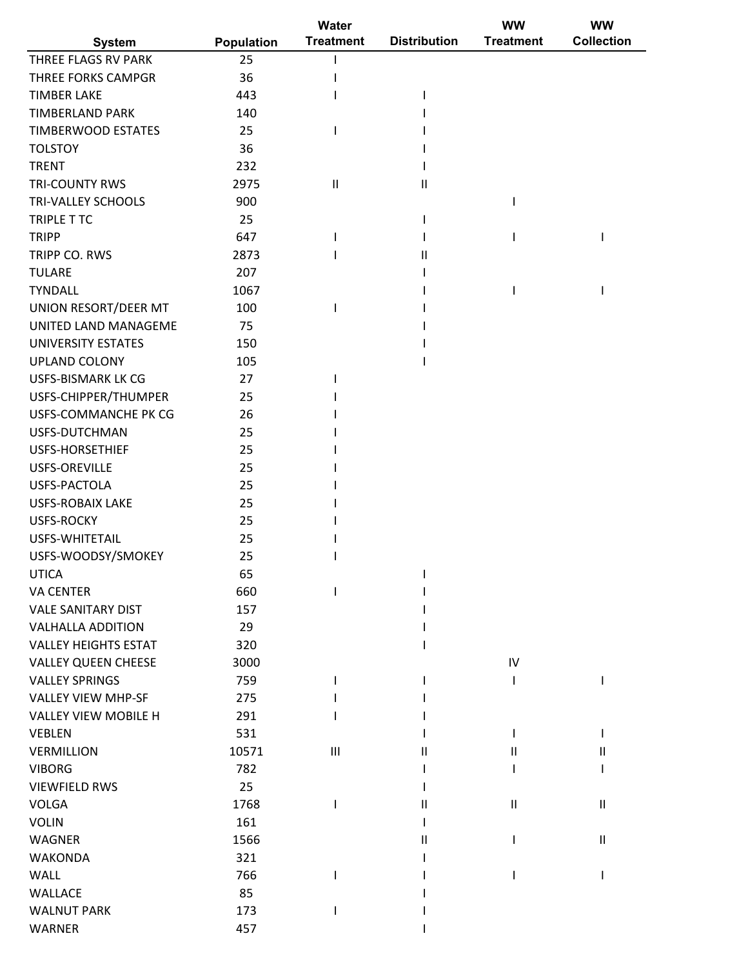|                             |                   | Water            |                     | <b>WW</b>                  | <b>WW</b>              |
|-----------------------------|-------------------|------------------|---------------------|----------------------------|------------------------|
| <b>System</b>               | <b>Population</b> | <b>Treatment</b> | <b>Distribution</b> | <b>Treatment</b>           | <b>Collection</b>      |
| THREE FLAGS RV PARK         | 25                |                  |                     |                            |                        |
| <b>THREE FORKS CAMPGR</b>   | 36                |                  |                     |                            |                        |
| <b>TIMBER LAKE</b>          | 443               |                  |                     |                            |                        |
| <b>TIMBERLAND PARK</b>      | 140               |                  |                     |                            |                        |
| <b>TIMBERWOOD ESTATES</b>   | 25                |                  |                     |                            |                        |
| <b>TOLSTOY</b>              | 36                |                  |                     |                            |                        |
| <b>TRENT</b>                | 232               |                  |                     |                            |                        |
| <b>TRI-COUNTY RWS</b>       | 2975              | $\sf II$         | Ш                   |                            |                        |
| TRI-VALLEY SCHOOLS          | 900               |                  |                     |                            |                        |
| TRIPLE T TC                 | 25                |                  |                     |                            |                        |
| <b>TRIPP</b>                | 647               |                  |                     |                            |                        |
| TRIPP CO. RWS               | 2873              |                  | Ш                   |                            |                        |
| <b>TULARE</b>               | 207               |                  |                     |                            |                        |
| <b>TYNDALL</b>              | 1067              |                  |                     |                            |                        |
| UNION RESORT/DEER MT        | 100               |                  |                     |                            |                        |
| UNITED LAND MANAGEME        | 75                |                  |                     |                            |                        |
| UNIVERSITY ESTATES          | 150               |                  |                     |                            |                        |
| <b>UPLAND COLONY</b>        | 105               |                  |                     |                            |                        |
| <b>USFS-BISMARK LK CG</b>   | 27                |                  |                     |                            |                        |
| USFS-CHIPPER/THUMPER        | 25                |                  |                     |                            |                        |
| USFS-COMMANCHE PK CG        | 26                |                  |                     |                            |                        |
| USFS-DUTCHMAN               | 25                |                  |                     |                            |                        |
| <b>USFS-HORSETHIEF</b>      | 25                |                  |                     |                            |                        |
| <b>USFS-OREVILLE</b>        | 25                |                  |                     |                            |                        |
| USFS-PACTOLA                | 25                |                  |                     |                            |                        |
| <b>USFS-ROBAIX LAKE</b>     | 25                |                  |                     |                            |                        |
| <b>USFS-ROCKY</b>           | 25                |                  |                     |                            |                        |
| USFS-WHITETAIL              | 25                |                  |                     |                            |                        |
| USFS-WOODSY/SMOKEY          | 25                |                  |                     |                            |                        |
| <b>UTICA</b>                | 65                |                  |                     |                            |                        |
| <b>VA CENTER</b>            | 660               |                  |                     |                            |                        |
| <b>VALE SANITARY DIST</b>   | 157               |                  |                     |                            |                        |
|                             |                   |                  |                     |                            |                        |
| <b>VALHALLA ADDITION</b>    | 29                |                  |                     |                            |                        |
| <b>VALLEY HEIGHTS ESTAT</b> | 320               |                  |                     |                            |                        |
| <b>VALLEY QUEEN CHEESE</b>  | 3000              |                  |                     | IV                         |                        |
| <b>VALLEY SPRINGS</b>       | 759               |                  |                     |                            |                        |
| <b>VALLEY VIEW MHP-SF</b>   | 275               |                  |                     |                            |                        |
| <b>VALLEY VIEW MOBILE H</b> | 291               |                  |                     |                            |                        |
| <b>VEBLEN</b>               | 531               |                  |                     |                            |                        |
| <b>VERMILLION</b>           | 10571             | $\mathbf{III}$   | н                   | $\mathbf{I}$               | Ш                      |
| <b>VIBORG</b>               | 782               |                  |                     |                            |                        |
| <b>VIEWFIELD RWS</b>        | 25                |                  |                     |                            |                        |
| <b>VOLGA</b>                | 1768              |                  |                     | $\ensuremath{\mathsf{II}}$ | $\mathsf{I}\mathsf{I}$ |
| <b>VOLIN</b>                | 161               |                  |                     |                            |                        |
| <b>WAGNER</b>               | 1566              |                  |                     |                            | $\mathsf{I}$           |
| <b>WAKONDA</b>              | 321               |                  |                     |                            |                        |
| <b>WALL</b>                 | 766               |                  |                     |                            |                        |
| WALLACE                     | 85                |                  |                     |                            |                        |
| <b>WALNUT PARK</b>          | 173               |                  |                     |                            |                        |
| WARNER                      | 457               |                  |                     |                            |                        |